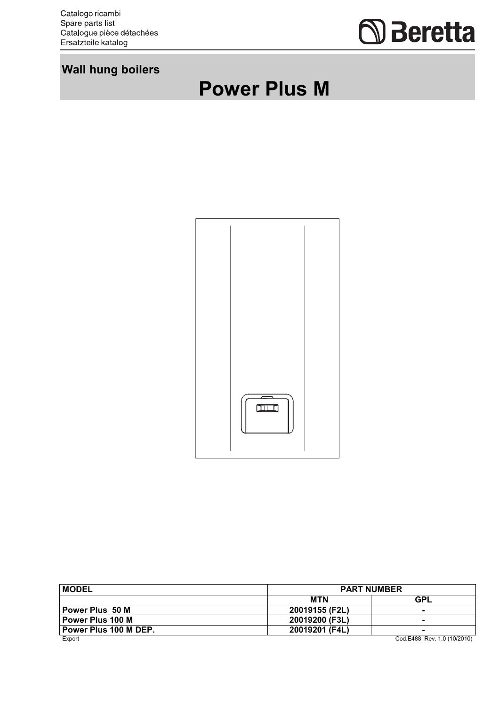Catalogo ricambi Spare parts list<br>Catalogue pièce détachées Ersatzteile katalog

## **Seretta**

## **Wall hung boilers**

## **Power Plus M**



| <b>MODEL</b>            | <b>PART NUMBER</b> |                             |  |
|-------------------------|--------------------|-----------------------------|--|
|                         | <b>MTN</b>         | <b>GPL</b>                  |  |
| Power Plus 50 M         | 20019155 (F2L)     | $\blacksquare$              |  |
| <b>Power Plus 100 M</b> | 20019200 (F3L)     | $\sim$                      |  |
| Power Plus 100 M DEP.   | 20019201 (F4L)     | $\blacksquare$              |  |
| Export                  |                    | Cod.E488 Rev. 1.0 (10/2010) |  |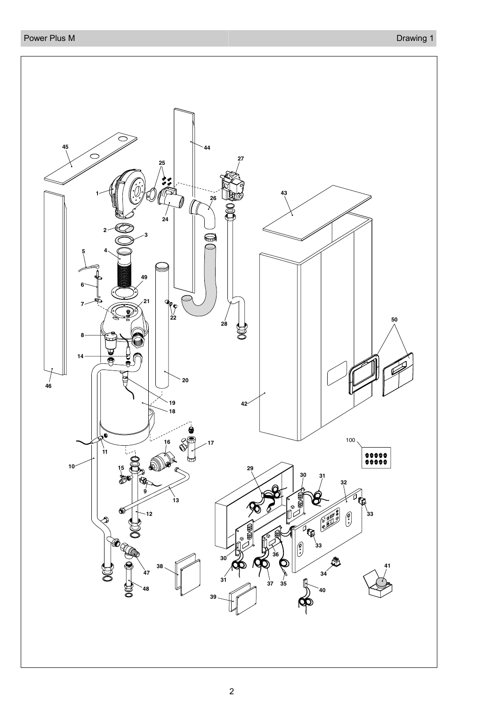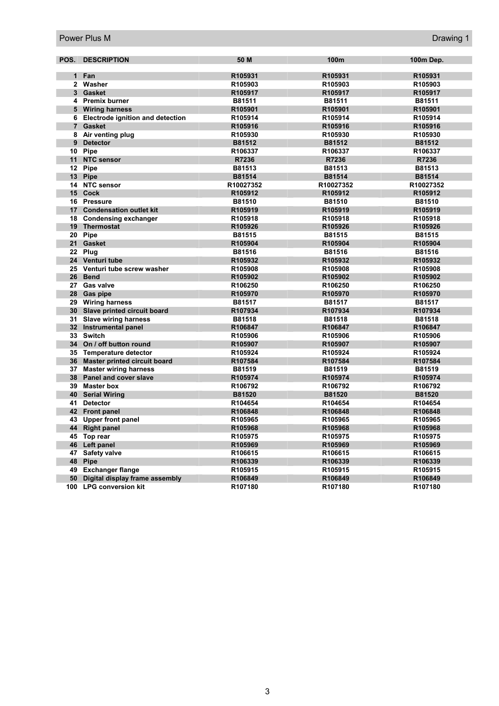| POS.            | <b>DESCRIPTION</b>                      | 50 M                | 100m      | 100m Dep.           |
|-----------------|-----------------------------------------|---------------------|-----------|---------------------|
|                 |                                         |                     |           |                     |
| 1               | Fan                                     | R105931             | R105931   | R105931             |
| $\mathbf{2}$    | Washer                                  | R105903             | R105903   | R105903             |
| 3               | <b>Gasket</b>                           | R105917             | R105917   | R105917             |
|                 | 4 Premix burner                         | B81511              | B81511    | B81511              |
|                 | 5 Wiring harness                        | R105901             | R105901   | R105901             |
| 6               | <b>Electrode ignition and detection</b> | R105914             | R105914   | R105914             |
| 7 <sup>1</sup>  | <b>Gasket</b>                           | R105916             | R105916   | R105916             |
| 8               | Air venting plug                        | R105930             | R105930   | R105930             |
| 9               | <b>Detector</b>                         | B81512              | B81512    | B81512              |
| 10              | Pipe                                    | R106337             | R106337   | R106337             |
| 11              | <b>NTC sensor</b>                       | R7236               | R7236     | R7236               |
| 12              | <b>Pipe</b>                             | B81513              | B81513    | B81513              |
| 13              | <b>Pipe</b>                             | B81514              | B81514    | B81514              |
|                 | 14 NTC sensor                           | R10027352           | R10027352 | R10027352           |
|                 | 15 Cock                                 | R105912             | R105912   | R105912             |
|                 | 16 Pressure                             | B81510              | B81510    | B81510              |
| 17              | <b>Condensation outlet kit</b>          | R105919             | R105919   | R105919             |
| 18              | <b>Condensing exchanger</b>             | R <sub>105918</sub> | R105918   | R105918             |
| 19              | <b>Thermostat</b>                       | R105926             | R105926   | R105926             |
| 20              | <b>Pipe</b>                             | B81515              | B81515    | B81515              |
| 21 <sup>1</sup> | <b>Gasket</b>                           | R105904             | R105904   | R105904             |
|                 | 22 Plug                                 | B81516              | B81516    | B81516              |
|                 | 24 Venturi tube                         | R105932             | R105932   | R105932             |
| 25              | Venturi tube screw washer               | R105908             | R105908   | R105908             |
| 26 <sup>1</sup> | <b>Bend</b>                             | R105902             | R105902   | R105902             |
| 27              | <b>Gas valve</b>                        | R106250             | R106250   | R106250             |
|                 | 28 Gas pipe                             | R105970             | R105970   | R105970             |
|                 | 29 Wiring harness                       | B81517              | B81517    | B81517              |
|                 | 30 Slave printed circuit board          | R107934             | R107934   | R107934             |
| 31              | <b>Slave wiring harness</b>             | B81518              | B81518    | B81518              |
|                 | 32 Instrumental panel                   | R106847             | R106847   | R106847             |
|                 | 33 Switch                               | R105906             | R105906   | R105906             |
|                 | 34 On / off button round                | R105907             | R105907   | R105907             |
| 35              | Temperature detector                    | R105924             | R105924   | R105924             |
| 36              | Master printed circuit board            | R107584             | R107584   | R107584             |
| 37              | <b>Master wiring harness</b>            | B81519              | B81519    | B81519              |
| 38              | Panel and cover slave                   | R105974             | R105974   | R105974             |
| 39              | <b>Master box</b>                       | R106792             | R106792   | R106792             |
| 40              | <b>Serial Wiring</b>                    | B81520              | B81520    | B81520              |
| 41              | <b>Detector</b>                         | R104654             | R104654   | R104654             |
| 42              | <b>Front panel</b>                      | R106848             | R106848   | R106848             |
| 43              | <b>Upper front panel</b>                | R <sub>105965</sub> | R105965   | R105965             |
| 44              | <b>Right panel</b>                      | R105968             | R105968   | R105968             |
| 45              | Top rear                                | R105975             | R105975   | R105975             |
| 46              | Left panel                              | R105969             | R105969   | R105969             |
| 47              | <b>Safety valve</b>                     | R106615             | R106615   | R <sub>106615</sub> |
| 48              | <b>Pipe</b>                             | R106339             | R106339   | R106339             |
| 49              | <b>Exchanger flange</b>                 | R105915             | R105915   | R105915             |
| 50              | Digital display frame assembly          | R106849             | R106849   | R106849             |
| 100             | <b>LPG conversion kit</b>               | R <sub>107180</sub> | R107180   | R107180             |